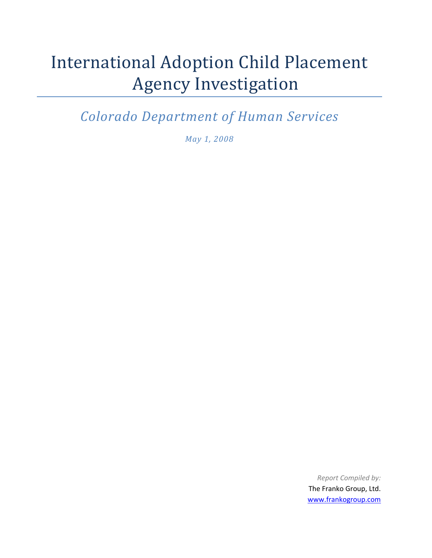# International Adoption Child Placement Agency Investigation

*Colorado Department of Human Services*

*May 1, 2008*

*Report Compiled by:* The Franko Group, Ltd. www.frankogroup.com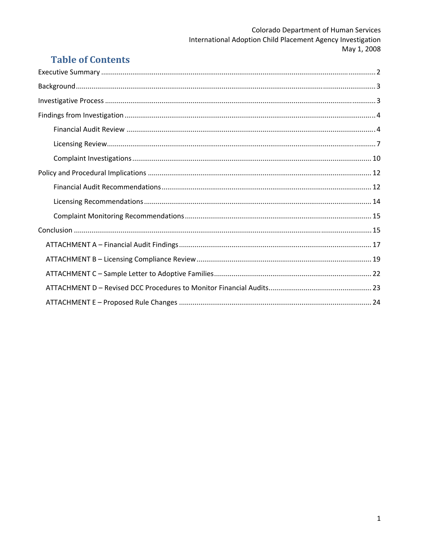# **Table of Contents**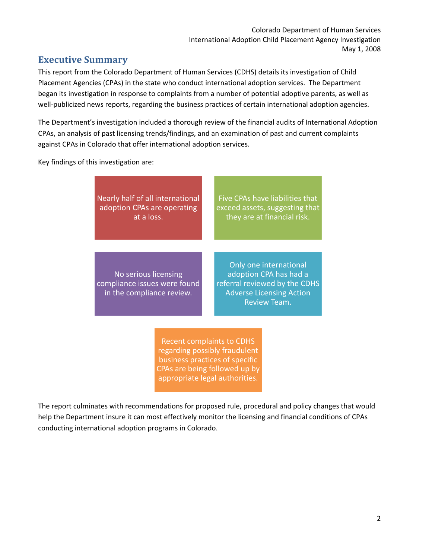## **Executive Summary**

This report from the Colorado Department of Human Services (CDHS) details its investigation of Child Placement Agencies (CPAs) in the state who conduct international adoption services. The Department began its investigation in response to complaints from a number of potential adoptive parents, as well as well-publicized news reports, regarding the business practices of certain international adoption agencies.

The Department's investigation included a thorough review of the financial audits of International Adoption CPAs, an analysis of past licensing trends/findings, and an examination of past and current complaints against CPAs in Colorado that offer international adoption services.

Key findings of this investigation are:

| Nearly half of all international<br>adoption CPAs are operating<br>at a loss. | Five CPAs have liabilities that<br>exceed assets, suggesting that<br>they are at financial risk.                                                                       |  |  |  |  |
|-------------------------------------------------------------------------------|------------------------------------------------------------------------------------------------------------------------------------------------------------------------|--|--|--|--|
| No serious licensing<br>compliance issues were found                          | Only one international<br>adoption CPA has had a<br>referral reviewed by the CDHS                                                                                      |  |  |  |  |
| in the compliance review.                                                     | <b>Adverse Licensing Action</b><br>Review Team.                                                                                                                        |  |  |  |  |
|                                                                               | <b>Recent complaints to CDHS</b><br>regarding possibly fraudulent<br>business practices of specific<br>CPAs are being followed up by<br>appropriate legal authorities. |  |  |  |  |

The report culminates with recommendations for proposed rule, procedural and policy changes that would help the Department insure it can most effectively monitor the licensing and financial conditions of CPAs conducting international adoption programs in Colorado.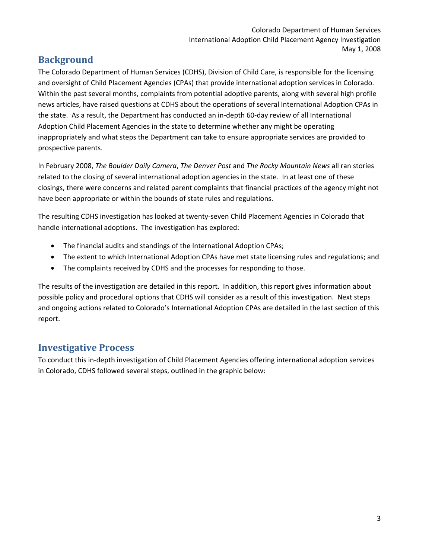# **Background**

The Colorado Department of Human Services (CDHS), Division of Child Care, is responsible for the licensing and oversight of Child Placement Agencies (CPAs) that provide international adoption services in Colorado. Within the past several months, complaints from potential adoptive parents, along with several high profile news articles, have raised questions at CDHS about the operations of several International Adoption CPAs in the state. As a result, the Department has conducted an in‐depth 60‐day review of all International Adoption Child Placement Agencies in the state to determine whether any might be operating inappropriately and what steps the Department can take to ensure appropriate services are provided to prospective parents.

In February 2008, *The Boulder Daily Camera*, *The Denver Post* and *The Rocky Mountain News* all ran stories related to the closing of several international adoption agencies in the state. In at least one of these closings, there were concerns and related parent complaints that financial practices of the agency might not have been appropriate or within the bounds of state rules and regulations.

The resulting CDHS investigation has looked at twenty‐seven Child Placement Agencies in Colorado that handle international adoptions. The investigation has explored:

- The financial audits and standings of the International Adoption CPAs;
- The extent to which International Adoption CPAs have met state licensing rules and regulations; and
- The complaints received by CDHS and the processes for responding to those.

The results of the investigation are detailed in this report. In addition, this report gives information about possible policy and procedural options that CDHS will consider as a result of this investigation. Next steps and ongoing actions related to Colorado's International Adoption CPAs are detailed in the last section of this report.

## **Investigative Process**

To conduct this in‐depth investigation of Child Placement Agencies offering international adoption services in Colorado, CDHS followed several steps, outlined in the graphic below: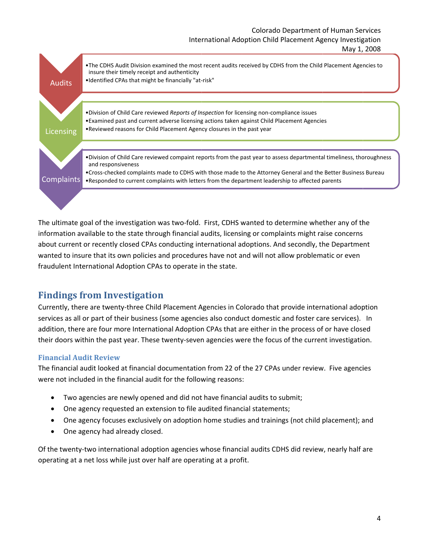

The ultimate goal of the investigation was two-fold. First, CDHS wanted to determine whether any of the information available to the state through financial audits, licensing or complaints might raise concerns about current or recently closed CPAs conducting international adoptions. And secondly, the Department wanted to insure that its own policies and procedures have not and will not allow problematic or even fraudulent International Adoption CPAs to operate in the state.

## **Findings from Investigation**

Currently, there are twenty-three Child Placement Agencies in Colorado that provide international adoption services as all or part of their business (some agencies also conduct domestic and foster care services). In addition, there are four more International Adoption CPAs that are either in the process of or have closed their doors within the past year. These twenty-seven agencies were the focus of the current investigation.

#### **Financial Audit Review**

The financial audit looked at financial documentation from 22 of the 27 CPAs under review. Five agencies were not included in the financial audit for the following reasons:

- Two agencies are newly opened and did not have financial audits to submit;
- One agency requested an extension to file audited financial statements;
- One agency focuses exclusively on adoption home studies and trainings (not child placement); and
- One agency had already closed.  $\bullet$

Of the twenty-two international adoption agencies whose financial audits CDHS did review, nearly half are operating at a net loss while just over half are operating at a profit.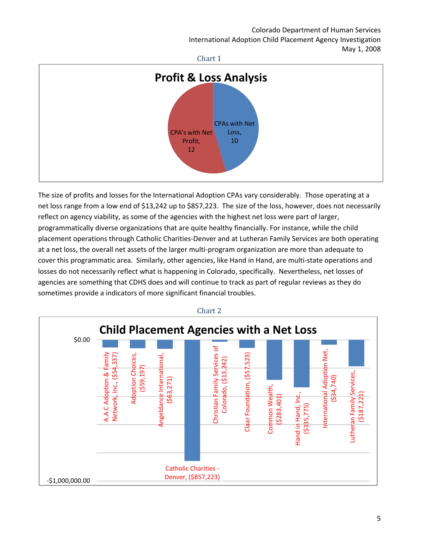



The size of profits and losses for the International Adoption CPAs vary considerably. Those operating at a net loss range from a low end of \$13,242 up to \$857,223. The size of the loss, however, does not necessarily reflect on agency viability, as some of the agencies with the highest net loss were part of larger, programmatically diverse organizations that are quite healthy financially. For instance, while the child placement operations through Catholic Charities‐Denver and at Lutheran Family Services are both operating at a net loss, the overall net assets of the larger multi‐program organization are more than adequate to cover this programmatic area. Similarly, other agencies, like Hand in Hand, are multi‐state operations and losses do not necessarily reflect what is happening in Colorado, specifically. Nevertheless, net losses of agencies are something that CDHS does and will continue to track as part of regular reviews as they do sometimes provide a indicators of more significant financial troubles.



#### Chart 2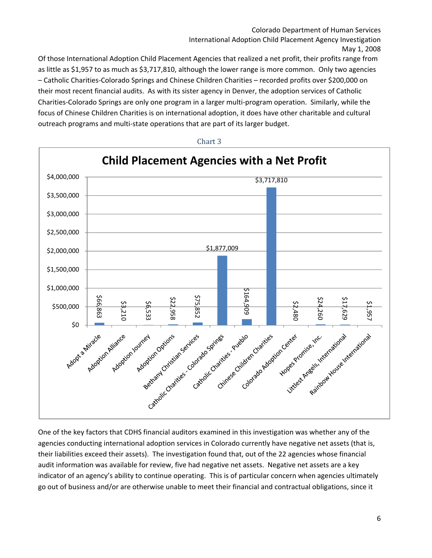Of those International Adoption Child Placement Agencies that realized a net profit, their profits range from as little as \$1,957 to as much as \$3,717,810, although the lower range is more common. Only two agencies – Catholic Charities‐Colorado Springs and Chinese Children Charities – recorded profits over \$200,000 on their most recent financial audits. As with its sister agency in Denver, the adoption services of Catholic Charities‐Colorado Springs are only one program in a larger multi‐program operation. Similarly, while the focus of Chinese Children Charities is on international adoption, it does have other charitable and cultural outreach programs and multi‐state operations that are part of its larger budget.



Chart 3

One of the key factors that CDHS financial auditors examined in this investigation was whether any of the agencies conducting international adoption services in Colorado currently have negative net assets (that is, their liabilities exceed their assets). The investigation found that, out of the 22 agencies whose financial audit information was available for review, five had negative net assets. Negative net assets are a key indicator of an agency's ability to continue operating. This is of particular concern when agencies ultimately

6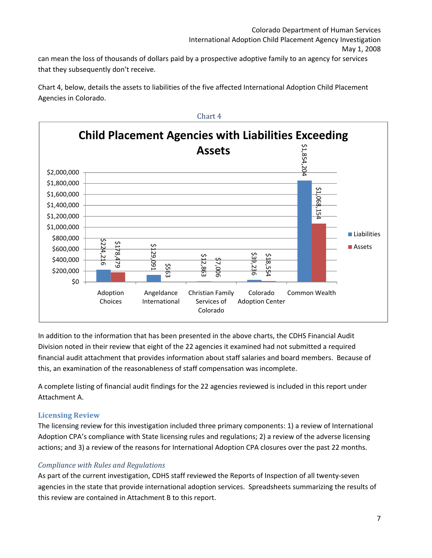can mean the loss of thousands of dollars paid by a prospective adoptive family to an agency for services that they subsequently don't receive.

Chart 4, below, details the assets to liabilities of the five affected International Adoption Child Placement Agencies in Colorado.



In addition to the information that has been presented in the above charts, the CDHS Financial Audit Division noted in their review that eight of the 22 agencies it examined had not submitted a required financial audit attachment that provides information about staff salaries and board members. Because of this, an examination of the reasonableness of staff compensation was incomplete.

A complete listing of financial audit findings for the 22 agencies reviewed is included in this report under Attachment A.

#### **Licensing Review**

The licensing review for this investigation included three primary components: 1) a review of International Adoption CPA's compliance with State licensing rules and regulations; 2) a review of the adverse licensing actions; and 3) a review of the reasons for International Adoption CPA closures over the past 22 months.

#### *Compliance with Rules and Regulations*

As part of the current investigation, CDHS staff reviewed the Reports of Inspection of all twenty‐seven agencies in the state that provide international adoption services. Spreadsheets summarizing the results of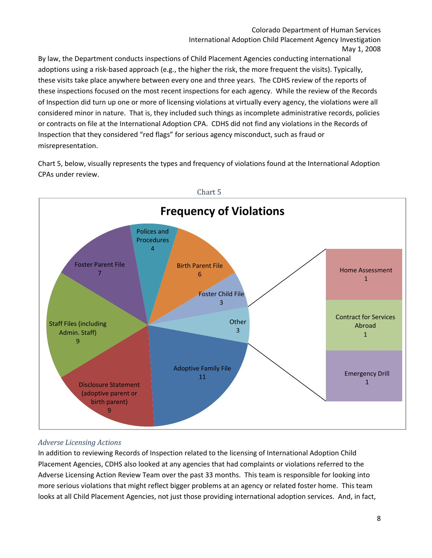By law, the Department conducts inspections of Child Placement Agencies conducting international adoptions using a risk-based approach (e.g., the higher the risk, the more frequent the visits). Typically, these visits take place anywhere between every one and three years. The CDHS review of the reports of these inspections focused on the most recent inspections for each agency. While the review of the Records of Inspection did turn up one or more of licensing violations at virtually every agency, the violations were all considered minor in nature. That is, they included such things as incomplete administrative records, policies or contracts on file at the International Adoption CPA. CDHS did not find any violations in the Records of Inspection that they considered "red flags" for serious agency misconduct, such as fraud or misrepresentation.

Chart 5, below, visually represents the types and frequency of violations found at the International Adoption CPAs under review.



#### *Adverse Licensing Actions*

In addition to reviewing Records of Inspection related to the licensing of International Adoption Child Placement Agencies, CDHS also looked at any agencies that had complaints or violations referred to the Adverse Licensing Action Review Team over the past 33 months. This team is responsible for looking into more serious violations that might reflect bigger problems at an agency or related foster home. This team looks at all Child Placement Agencies, not just those providing international adoption services. And, in fact,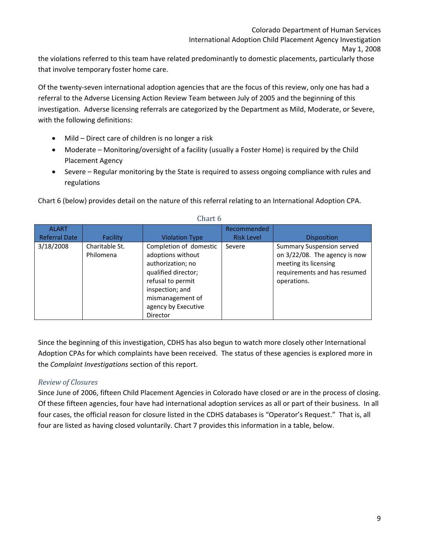the violations referred to this team have related predominantly to domestic placements, particularly those that involve temporary foster home care.

Of the twenty‐seven international adoption agencies that are the focus of this review, only one has had a referral to the Adverse Licensing Action Review Team between July of 2005 and the beginning of this investigation. Adverse licensing referrals are categorized by the Department as Mild, Moderate, or Severe, with the following definitions:

- Mild Direct care of children is no longer a risk
- Moderate Monitoring/oversight of a facility (usually a Foster Home) is required by the Child Placement Agency
- Severe Regular monitoring by the State is required to assess ongoing compliance with rules and regulations

Chart 6 (below) provides detail on the nature of this referral relating to an International Adoption CPA.

| <b>ALART</b>         |                             |                                                                                                                                                                                               | Recommended       |                                                                                                                                           |
|----------------------|-----------------------------|-----------------------------------------------------------------------------------------------------------------------------------------------------------------------------------------------|-------------------|-------------------------------------------------------------------------------------------------------------------------------------------|
| <b>Referral Date</b> | Facility                    | <b>Violation Type</b>                                                                                                                                                                         | <b>Risk Level</b> | <b>Disposition</b>                                                                                                                        |
| 3/18/2008            | Charitable St.<br>Philomena | Completion of domestic<br>adoptions without<br>authorization; no<br>qualified director;<br>refusal to permit<br>inspection; and<br>mismanagement of<br>agency by Executive<br><b>Director</b> | Severe            | <b>Summary Suspension served</b><br>on 3/22/08. The agency is now<br>meeting its licensing<br>requirements and has resumed<br>operations. |

Chart 6

Since the beginning of this investigation, CDHS has also begun to watch more closely other International Adoption CPAs for which complaints have been received. The status of these agencies is explored more in the *Complaint Investigations* section of this report.

## *Review of Closures*

Since June of 2006, fifteen Child Placement Agencies in Colorado have closed or are in the process of closing. Of these fifteen agencies, four have had international adoption services as all or part of their business. In all four cases, the official reason for closure listed in the CDHS databases is "Operator's Request." That is, all four are listed as having closed voluntarily. Chart 7 provides this information in a table, below.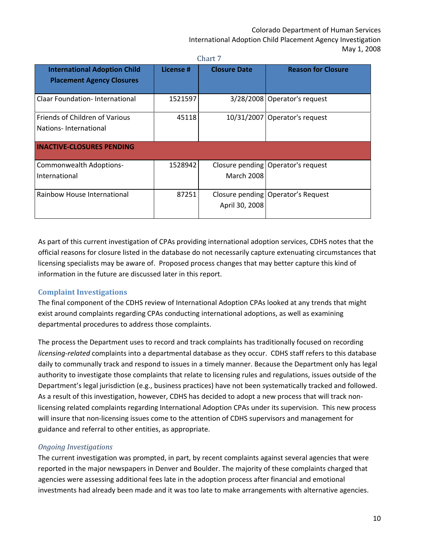| <b>International Adoption Child</b>                     | License # | <b>Closure Date</b> | <b>Reason for Closure</b>            |
|---------------------------------------------------------|-----------|---------------------|--------------------------------------|
| <b>Placement Agency Closures</b>                        |           |                     |                                      |
| <b>Claar Foundation-International</b>                   | 1521597   |                     | 3/28/2008 Operator's request         |
| Friends of Children of Various<br>Nations-International | 45118     |                     | 10/31/2007   Operator's request      |
| <b>INACTIVE-CLOSURES PENDING</b>                        |           |                     |                                      |
| Commonwealth Adoptions-<br>International                | 1528942   | <b>March 2008</b>   | Closure pending   Operator's request |
| Rainbow House International                             | 87251     | April 30, 2008      | Closure pending   Operator's Request |

As part of this current investigation of CPAs providing international adoption services, CDHS notes that the official reasons for closure listed in the database do not necessarily capture extenuating circumstances that licensing specialists may be aware of. Proposed process changes that may better capture this kind of information in the future are discussed later in this report.

#### **Complaint Investigations**

The final component of the CDHS review of International Adoption CPAs looked at any trends that might exist around complaints regarding CPAs conducting international adoptions, as well as examining departmental procedures to address those complaints.

The process the Department uses to record and track complaints has traditionally focused on recording *licensing‐related* complaints into a departmental database as they occur. CDHS staff refers to this database daily to communally track and respond to issues in a timely manner. Because the Department only has legal authority to investigate those complaints that relate to licensing rules and regulations, issues outside of the Department's legal jurisdiction (e.g., business practices) have not been systematically tracked and followed. As a result of this investigation, however, CDHS has decided to adopt a new process that will track non‐ licensing related complaints regarding International Adoption CPAs under its supervision. This new process will insure that non-licensing issues come to the attention of CDHS supervisors and management for guidance and referral to other entities, as appropriate.

#### *Ongoing Investigations*

The current investigation was prompted, in part, by recent complaints against several agencies that were reported in the major newspapers in Denver and Boulder. The majority of these complaints charged that agencies were assessing additional fees late in the adoption process after financial and emotional investments had already been made and it was too late to make arrangements with alternative agencies.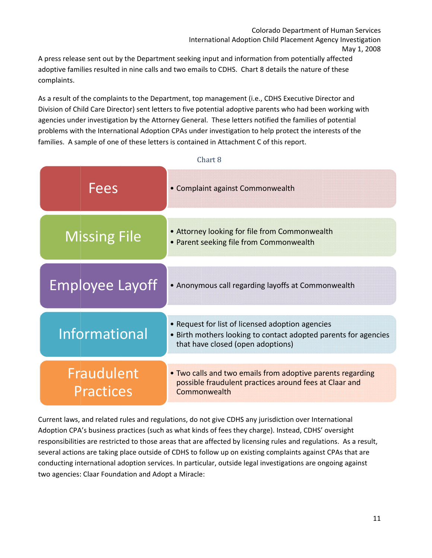A press release sent out by the Department seeking input and information from potentially affected adoptive families resulted in nine calls and two emails to CDHS. Chart 8 details the nature of these complaints.

As a result of the complaints to the Department, top management (i.e., CDHS Executive Director and Division of Child Care Director) sent letters to five potential adoptive parents who had been working with agencies under investigation by the Attorney General. These letters notified the families of potential problems with the International Adoption CPAs under investigation to help protect the interests of the families. A sample of one of these letters is contained in Attachment C of this report.

| Chart 8                 |                                                                                                                                                          |  |  |  |  |  |
|-------------------------|----------------------------------------------------------------------------------------------------------------------------------------------------------|--|--|--|--|--|
| <b>Fees</b>             | • Complaint against Commonwealth                                                                                                                         |  |  |  |  |  |
| <b>Missing File</b>     | • Attorney looking for file from Commonwealth<br>• Parent seeking file from Commonwealth                                                                 |  |  |  |  |  |
| <b>Employee Layoff</b>  | • Anonymous call regarding layoffs at Commonwealth                                                                                                       |  |  |  |  |  |
| Informational           | • Request for list of licensed adoption agencies<br>• Birth mothers looking to contact adopted parents for agencies<br>that have closed (open adoptions) |  |  |  |  |  |
| Fraudulent<br>Practices | . Two calls and two emails from adoptive parents regarding<br>possible fraudulent practices around fees at Claar and<br>Commonwealth                     |  |  |  |  |  |

Current laws, and related rules and regulations, do not give CDHS any jurisdiction over International Adoption CPA's business practices (such as what kinds of fees they charge). Instead, CDHS' oversight responsibilities are restricted to those areas that are affected by licensing rules and regulations. As a result, several actions are taking place outside of CDHS to follow up on existing complaints against CPAs that are conducting international adoption services. In particular, outside legal investigations are ongoing against two agencies: Claar Foundation and Adopt a Miracle:

#### 11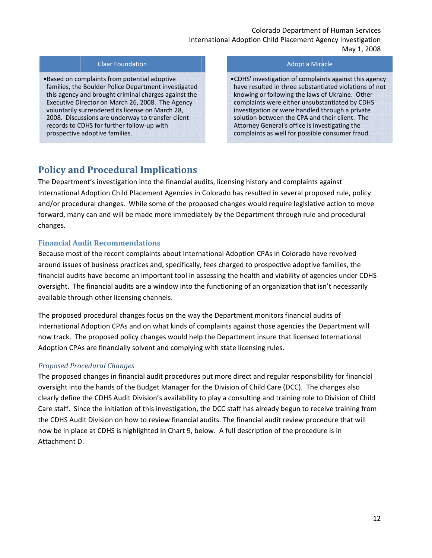#### **Claar Foundation**

.Based on complaints from potential adoptive families, the Boulder Police Department investigated this agency and brought criminal charges against the Executive Director on March 26, 2008. The Agency voluntarily surrendered its license on March 28, 2008. Discussions are underway to transfer client records to CDHS for further follow-up with prospective adoptive families.

#### Adopt a Miracle

. CDHS' investigation of complaints against this agency have resulted in three substantiated violations of not knowing or following the laws of Ukraine. Other complaints were either unsubstantiated by CDHS' investigation or were handled through a private solution between the CPA and their client. The Attorney General's office is investigating the complaints as well for possible consumer fraud.

## **Policy and Procedural Implications**

The Department's investigation into the financial audits, licensing history and complaints against International Adoption Child Placement Agencies in Colorado has resulted in several proposed rule, policy and/or procedural changes. While some of the proposed changes would require legislative action to move forward, many can and will be made more immediately by the Department through rule and procedural changes.

#### **Financial Audit Recommendations**

Because most of the recent complaints about International Adoption CPAs in Colorado have revolved around issues of business practices and, specifically, fees charged to prospective adoptive families, the financial audits have become an important tool in assessing the health and viability of agencies under CDHS oversight. The financial audits are a window into the functioning of an organization that isn't necessarily available through other licensing channels.

The proposed procedural changes focus on the way the Department monitors financial audits of International Adoption CPAs and on what kinds of complaints against those agencies the Department will now track. The proposed policy changes would help the Department insure that licensed International Adoption CPAs are financially solvent and complying with state licensing rules.

#### **Proposed Procedural Changes**

The proposed changes in financial audit procedures put more direct and regular responsibility for financial oversight into the hands of the Budget Manager for the Division of Child Care (DCC). The changes also clearly define the CDHS Audit Division's availability to play a consulting and training role to Division of Child Care staff. Since the initiation of this investigation, the DCC staff has already begun to receive training from the CDHS Audit Division on how to review financial audits. The financial audit review procedure that will now be in place at CDHS is highlighted in Chart 9, below. A full description of the procedure is in Attachment D.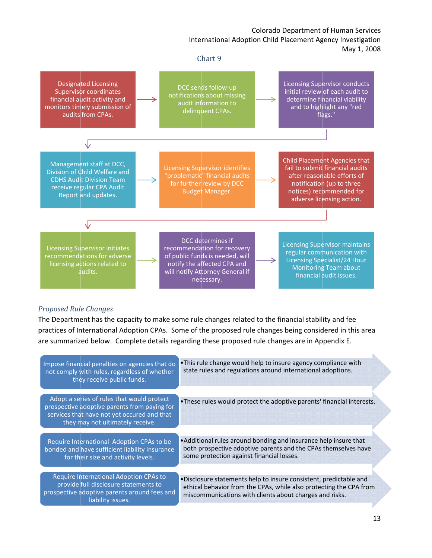#### Chart 9



#### **Proposed Rule Changes**

The Department has the capacity to make some rule changes related to the financial stability and fee practices of International Adoption CPAs. Some of the proposed rule changes being considered in this area are summarized below. Complete details regarding these proposed rule changes are in Appendix E.

| Impose financial penalties on agencies that do<br>not comply with rules, regardless of whether<br>they receive public funds.                                                  | • This rule change would help to insure agency compliance with<br>state rules and regulations around international adoptions.                                                                      |
|-------------------------------------------------------------------------------------------------------------------------------------------------------------------------------|----------------------------------------------------------------------------------------------------------------------------------------------------------------------------------------------------|
| Adopt a series of rules that would protect<br>prospective adoptive parents from paying for<br>services that have not yet occured and that<br>they may not ultimately receive. | . These rules would protect the adoptive parents' financial interests.                                                                                                                             |
| Require International Adoption CPAs to be<br>bonded and have sufficient liability insurance<br>for their size and activity levels.                                            | • Additional rules around bonding and insurance help insure that<br>both prospective adoptive parents and the CPAs themselves have<br>some protection against financial losses.                    |
| Require International Adoption CPAs to<br>provide full disclosure statements to<br>prospective adoptive parents around fees and<br>liability issues.                          | .Disclosure statements help to insure consistent, predictable and<br>ethical behavior from the CPAs, while also protecting the CPA from<br>miscommunications with clients about charges and risks. |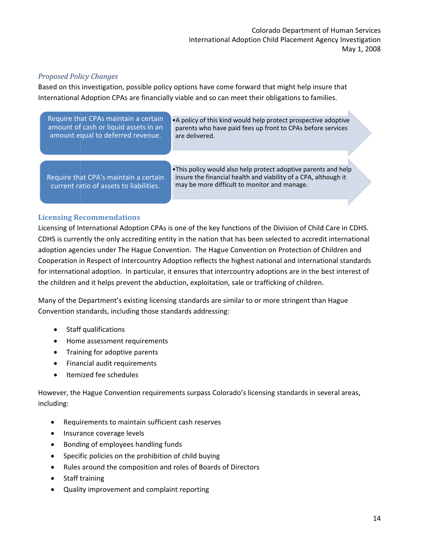#### **Proposed Policy Changes**

Based on this investigation, possible policy options have come forward that might help insure that International Adoption CPAs are financially viable and so can meet their obligations to families.

| Require that CPAs maintain a certain                                             | •A policy of this kind would help protect prospective adoptive                                                                                                                     |
|----------------------------------------------------------------------------------|------------------------------------------------------------------------------------------------------------------------------------------------------------------------------------|
| amount of cash or liquid assets in an                                            | parents who have paid fees up front to CPAs before services                                                                                                                        |
| amount equal to deferred revenue.                                                | are delivered.                                                                                                                                                                     |
| Require that CPA's maintain a certain<br>current ratio of assets to liabilities. | . This policy would also help protect adoptive parents and help<br>insure the financial health and viability of a CPA, although it<br>may be more difficult to monitor and manage. |

#### **Licensing Recommendations**

Licensing of International Adoption CPAs is one of the key functions of the Division of Child Care in CDHS. CDHS is currently the only accrediting entity in the nation that has been selected to accredit international adoption agencies under The Hague Convention. The Hague Convention on Protection of Children and Cooperation in Respect of Intercountry Adoption reflects the highest national and international standards for international adoption. In particular, it ensures that intercountry adoptions are in the best interest of the children and it helps prevent the abduction, exploitation, sale or trafficking of children.

Many of the Department's existing licensing standards are similar to or more stringent than Hague Convention standards, including those standards addressing:

- Staff qualifications
- Home assessment requirements
- Training for adoptive parents
- Financial audit requirements
- Itemized fee schedules

However, the Hague Convention requirements surpass Colorado's licensing standards in several areas, including:

- Requirements to maintain sufficient cash reserves  $\bullet$
- Insurance coverage levels
- Bonding of employees handling funds
- Specific policies on the prohibition of child buying  $\bullet$
- Rules around the composition and roles of Boards of Directors
- Staff training  $\bullet$
- Quality improvement and complaint reporting  $\bullet$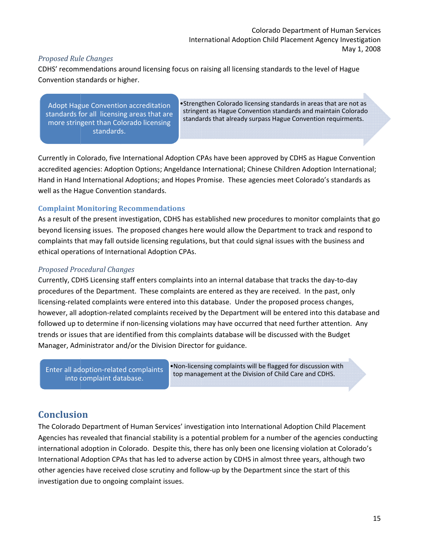#### International Adoption Child Placement Agency Investigation Colorado Department of Human Services May 1, 2008

#### *P Proposed Rul le Changes*

CDHS' recommendations around licensing focus on raising all licensing standards to the level of Hague Convention standards or higher.

Adopt Hague Convention accreditation standards for all licensing areas that are more strin gent than Co lorado licens ing standard s.

• Strengthen Colorado licensing standards in areas that are not a stringent as Hague Convention standards and maintain Colorado standards that already surpass Hague Convention requirments.

Currently in Colorado, five International Adoption CPAs have been approved by CDHS as Hague Convention accredited agencies: Adoption Options; Angeldance International; Chinese Children Adoption International; Hand in Hand International Adoptions; and Hopes Promise. These agencies meet Colorado's standards as well as the Hague Convention standards.

#### **Complaint Monitoring Recommendations**

As a result of the present investigation, CDHS has established new procedures to monitor complaints that go beyond licensing issues. The proposed changes here would allow the Department to track and respond to complaints that may fall outside licensing regulations, but that could signal issues with the business and ethical operations of International Adoption CPAs.

#### **Proposed Procedural Changes**

Currently, CDHS Licensing staff enters complaints into an internal database that tracks the day-to-day procedures of the Department. These complaints are entered as they are received. In the past, only licensing-related complaints were entered into this database. Under the proposed process changes, however, all adoption-related complaints received by the Department will be entered into this database followed up to determine if non-licensing violations may have occurred that need further attention. Any trends or issues that are identified from this complaints database will be discussed with the Budget Manager, Administrator and/or the Division Director for guidance. International Ado<br>
ing focus on raising all lice<br>
icare<br>
stringent as Hague Correlating<br>
standards that alread<br>
standards that alread<br>
all Adoption CPAs have beer<br>
; Angeldance International<br>
and Hopes Promise. These<br>
stan d<br>se and as as dc<br>s.s.<br>ti or is a<br>had id<br>had id<br>se my

Enter all adoption-related complaints into c complaint dat tabase.

• Non-licensing complaints will be flagged for discussion with top management at the Division of Child Care and CDHS.

## **Conclusion**

The Colorado Department of Human Services' investigation into International Adoption Child Placement Agencies has revealed that financial stability is a potential problem for a number of the agencies conducting international adoption in Colorado. Despite this, there has only been one licensing violation at Colorado's International Adoption CPAs that has led to adverse action by CDHS in almost three years, although two other agencies have received close scrutiny and follow-up by the Department since the start of this investigation due to ongoing complaint issues.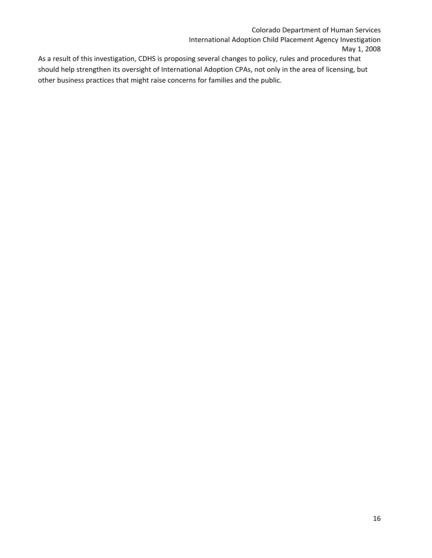As a result of this investigation, CDHS is proposing several changes to policy, rules and procedures that should help strengthen its oversight of International Adoption CPAs, not only in the area of licensing, but other business practices that might raise concerns for families and the public.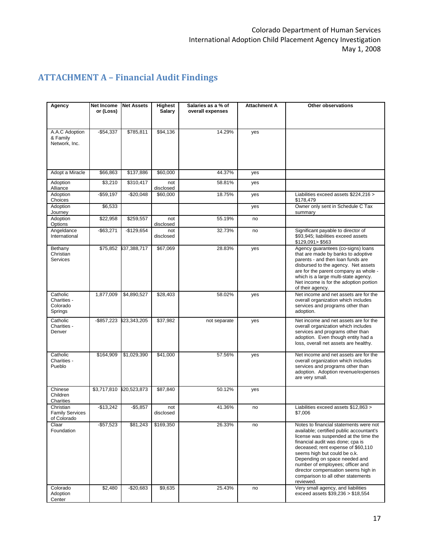# **ATTACHMENT A – Financial Audit Findings**

| Agency                                             | Net Income<br>or (Loss) | <b>Net Assets</b>        | Highest<br><b>Salary</b> | Salaries as a % of<br>overall expenses | <b>Attachment A</b> | <b>Other observations</b>                                                                                                                                                                                                                                                                                                                                                                            |  |  |  |  |
|----------------------------------------------------|-------------------------|--------------------------|--------------------------|----------------------------------------|---------------------|------------------------------------------------------------------------------------------------------------------------------------------------------------------------------------------------------------------------------------------------------------------------------------------------------------------------------------------------------------------------------------------------------|--|--|--|--|
|                                                    |                         |                          |                          |                                        |                     |                                                                                                                                                                                                                                                                                                                                                                                                      |  |  |  |  |
|                                                    |                         |                          |                          |                                        |                     |                                                                                                                                                                                                                                                                                                                                                                                                      |  |  |  |  |
| A.A.C Adoption<br>& Family<br>Network, Inc.        | $-$54,337$              | \$785,811                | \$94,136                 | 14.29%                                 | yes                 |                                                                                                                                                                                                                                                                                                                                                                                                      |  |  |  |  |
| Adopt a Miracle                                    | \$66,863                | \$137,886                | \$60,000                 | 44.37%                                 | yes                 |                                                                                                                                                                                                                                                                                                                                                                                                      |  |  |  |  |
| Adoption<br>Alliance                               | \$3,210                 | \$310,417                | not<br>disclosed         | 58.81%                                 | yes                 |                                                                                                                                                                                                                                                                                                                                                                                                      |  |  |  |  |
| Adoption<br>Choices                                | $-$59,197$              | $-$20,048$               | \$60,000                 | 18.75%                                 | yes                 | Liabilities exceed assets \$224,216 ><br>\$178,479                                                                                                                                                                                                                                                                                                                                                   |  |  |  |  |
| Adoption<br>Journey                                | \$6,533                 |                          |                          |                                        | yes                 | Owner only sent in Schedule C Tax<br>summary                                                                                                                                                                                                                                                                                                                                                         |  |  |  |  |
| Adoption<br>Options                                | \$22,958                | \$259,557                | not<br>disclosed         | 55.19%                                 | no                  |                                                                                                                                                                                                                                                                                                                                                                                                      |  |  |  |  |
| Angeldance<br>International                        | $-$ \$63,271            | $-$129,654$              | not<br>disclosed         | 32.73%                                 | no                  | Significant payable to director of<br>\$93,945; liabilities exceed assets<br>\$129,091> \$563                                                                                                                                                                                                                                                                                                        |  |  |  |  |
| Bethany<br>Christian<br><b>Services</b>            | \$75,852                | \$37,388,717             | \$67,069                 | 28.83%                                 | yes                 | Agency guarantees (co-signs) loans<br>that are made by banks to adoptive<br>parents - and then loan funds are<br>disbursed to the agency. Net assets<br>are for the parent company as whole -<br>which is a large multi-state agency.<br>Net income is for the adoption portion<br>of their agency.                                                                                                  |  |  |  |  |
| Catholic<br>Charities -<br>Colorado<br>Springs     | 1,877,009               | \$4,890,527              | \$28,403                 | 58.02%                                 | yes                 | Net income and net assets are for the<br>overall organization which includes<br>services and programs other than<br>adoption.                                                                                                                                                                                                                                                                        |  |  |  |  |
| Catholic<br>Charities -<br>Denver                  | -\$857,223              | \$23,343,205             | \$37,982                 | not separate                           | yes                 | Net income and net assets are for the<br>overall organization which includes<br>services and programs other than<br>adoption. Even though entity had a<br>loss, overall net assets are healthy.                                                                                                                                                                                                      |  |  |  |  |
| Catholic<br>Charities -<br>Pueblo                  | \$164,909               | \$1,029,390              | \$41,000                 | 57.56%                                 | yes                 | Net income and net assets are for the<br>overall organization which includes<br>services and programs other than<br>adoption. Adoption revenue/expenses<br>are very small.                                                                                                                                                                                                                           |  |  |  |  |
| Chinese<br>Children<br>Charities                   |                         | \$3,717,810 \$20,523,873 | \$87,840                 | 50.12%                                 | yes                 |                                                                                                                                                                                                                                                                                                                                                                                                      |  |  |  |  |
| Christian<br><b>Family Services</b><br>of Colorado | $-$13,242$              | $-$ \$5,857              | not<br>disclosed         | 41.36%                                 | no                  | Liabilities exceed assets \$12,863 ><br>\$7,006                                                                                                                                                                                                                                                                                                                                                      |  |  |  |  |
| Claar<br>Foundation                                | $-$57,523$              | \$81,243                 | \$169,350                | 26.33%                                 | no                  | Notes to financial statements were not<br>available; certified public accountant's<br>license was suspended at the time the<br>financial audit was done; cpa is<br>deceased; rent expense of \$60,110<br>seems high but could be o.k.<br>Depending on space needed and<br>number of employees; officer and<br>director compensation seems high in<br>comparison to all other statements<br>reviewed. |  |  |  |  |
| Colorado<br>Adoption<br>Center                     | \$2,480                 | $-$20,683$               | \$9,635                  | 25.43%                                 | no                  | Very small agency, and liabilities<br>exceed assets $$39,236 > $18,554$                                                                                                                                                                                                                                                                                                                              |  |  |  |  |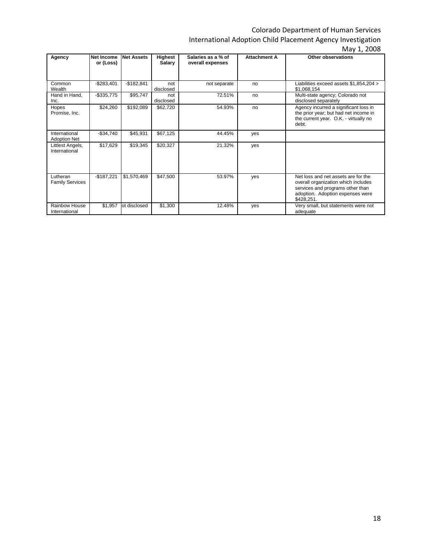### Colorado Department of Human Services

## International Adoption Child Placement Agency Investigation

|  |  | May 1, 2008 |
|--|--|-------------|
|--|--|-------------|

| Agency                               | <b>Net Income</b><br>or (Loss) | <b>Net Assets</b> | Highest<br>Salary | Salaries as a % of<br>overall expenses | <b>Attachment A</b> | Other observations                                                                                                                                               |
|--------------------------------------|--------------------------------|-------------------|-------------------|----------------------------------------|---------------------|------------------------------------------------------------------------------------------------------------------------------------------------------------------|
|                                      |                                |                   |                   |                                        |                     |                                                                                                                                                                  |
| Common<br>Wealth                     | $-$283,401$                    | $-$182,841$       | not<br>disclosed  | not separate                           | no                  | Liabilities exceed assets \$1,854,204 ><br>\$1,068,154                                                                                                           |
| Hand in Hand,<br>Inc.                | $-$ \$335,775                  | \$95,747          | not<br>disclosed  | 72.51%                                 | no                  | Multi-state agency; Colorado not<br>disclosed separately                                                                                                         |
| Hopes<br>Promise, Inc.               | \$24,260                       | \$192,089         | \$62,720          | 54.93%                                 | no                  | Agency incurred a significant loss in<br>the prior year; but had net income in<br>the current year. O.K. - virtually no<br>debt.                                 |
| International<br><b>Adoption Net</b> | $-$ \$34,740                   | \$45,931          | \$67,125          | 44.45%                                 | yes                 |                                                                                                                                                                  |
| Littlest Angels,<br>International    | \$17,629                       | \$19,345          | \$20,327          | 21.32%                                 | yes                 |                                                                                                                                                                  |
| Lutheran<br><b>Family Services</b>   | $-$187,221$                    | \$1,570,469       | \$47,500          | 53.97%                                 | yes                 | Net loss and net assets are for the<br>overall organization which includes<br>services and programs other than<br>adoption. Adoption expenses were<br>\$428,251. |
| Rainbow House<br>International       | \$1,957                        | ot disclosed      | \$1,300           | 12.48%                                 | yes                 | Very small, but statements were not<br>adequate                                                                                                                  |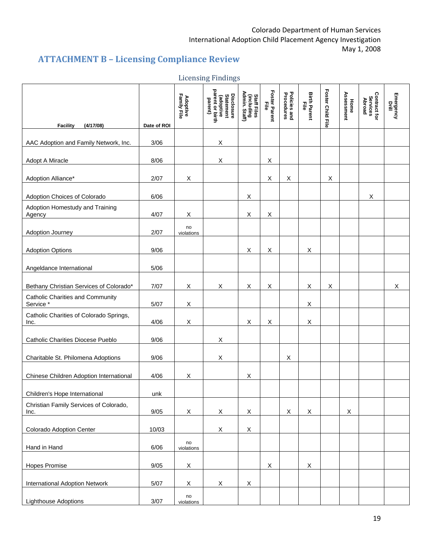# **ATTACHMENT B – Licensing Compliance Review**

|                                                      |             |                         | meenom <sub>b</sub> mam <sub>b</sub>                               |                                            |                           |                            |                             |                   |                    |                                    |                    |
|------------------------------------------------------|-------------|-------------------------|--------------------------------------------------------------------|--------------------------------------------|---------------------------|----------------------------|-----------------------------|-------------------|--------------------|------------------------------------|--------------------|
| <b>Facility</b><br>(4/17/08)                         | Date of ROI | Adoptive<br>Family File | Disclosure<br>Statement<br>(adoptive<br>parent or birth<br>parent) | Staff Files<br>(including<br>Admin. Staff) | Foster Parent<br>File     | Policies and<br>Procedures | <b>Birth Parent</b><br>File | Foster Child File | Assessment<br>Home | Contract for<br>Services<br>Abroad | Emergency<br>Drill |
|                                                      |             |                         |                                                                    |                                            |                           |                            |                             |                   |                    |                                    |                    |
| AAC Adoption and Family Network, Inc.                | 3/06        |                         | X                                                                  |                                            |                           |                            |                             |                   |                    |                                    |                    |
| Adopt A Miracle                                      | 8/06        |                         | Χ                                                                  |                                            | X                         |                            |                             |                   |                    |                                    |                    |
| Adoption Alliance*                                   | 2/07        | X                       |                                                                    |                                            | $\mathsf X$               | X                          |                             | $\mathsf X$       |                    |                                    |                    |
| Adoption Choices of Colorado                         | 6/06        |                         |                                                                    | X                                          |                           |                            |                             |                   |                    | X                                  |                    |
| Adoption Homestudy and Training<br>Agency            | 4/07        | X                       |                                                                    | $\boldsymbol{\mathsf{X}}$                  | X                         |                            |                             |                   |                    |                                    |                    |
| Adoption Journey                                     | 2/07        | no<br>violations        |                                                                    |                                            |                           |                            |                             |                   |                    |                                    |                    |
| <b>Adoption Options</b>                              | 9/06        |                         |                                                                    | X                                          | X                         |                            | X                           |                   |                    |                                    |                    |
| Angeldance International                             | 5/06        |                         |                                                                    |                                            |                           |                            |                             |                   |                    |                                    |                    |
| Bethany Christian Services of Colorado*              | 7/07        | X                       | X                                                                  | X                                          | X                         |                            | $\mathsf X$                 | $\mathsf X$       |                    |                                    | X                  |
| <b>Catholic Charities and Community</b><br>Service * | 5/07        | X                       |                                                                    |                                            |                           |                            | X                           |                   |                    |                                    |                    |
| Catholic Charities of Colorado Springs,<br>Inc.      | 4/06        | X                       |                                                                    | X                                          | X                         |                            | $\mathsf X$                 |                   |                    |                                    |                    |
| <b>Catholic Charities Diocese Pueblo</b>             | 9/06        |                         | X                                                                  |                                            |                           |                            |                             |                   |                    |                                    |                    |
| Charitable St. Philomena Adoptions                   | 9/06        |                         | Χ                                                                  |                                            |                           | X                          |                             |                   |                    |                                    |                    |
| Chinese Children Adoption International              | 4/06        | X                       |                                                                    | Χ                                          |                           |                            |                             |                   |                    |                                    |                    |
| Children's Hope International                        | unk         |                         |                                                                    |                                            |                           |                            |                             |                   |                    |                                    |                    |
| Christian Family Services of Colorado,<br>Inc.       | 9/05        | X                       | X                                                                  | X                                          |                           | X                          | X                           |                   | X                  |                                    |                    |
| <b>Colorado Adoption Center</b>                      | 10/03       |                         | X                                                                  | $\mathsf X$                                |                           |                            |                             |                   |                    |                                    |                    |
| Hand in Hand                                         | 6/06        | no<br>violations        |                                                                    |                                            |                           |                            |                             |                   |                    |                                    |                    |
| <b>Hopes Promise</b>                                 | 9/05        | X                       |                                                                    |                                            | $\boldsymbol{\mathsf{X}}$ |                            | $\mathsf X$                 |                   |                    |                                    |                    |
| <b>International Adoption Network</b>                | $5/07$      | X                       | X                                                                  | X                                          |                           |                            |                             |                   |                    |                                    |                    |
| <b>Lighthouse Adoptions</b>                          | $3/07$      | no<br>violations        |                                                                    |                                            |                           |                            |                             |                   |                    |                                    |                    |

#### Licensing Findings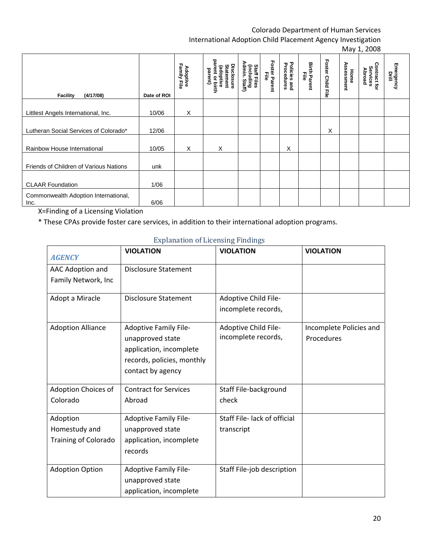Colorado Department of Human Services

International Adoption Child Placement Agency Investigation

May 1, 2008

| <b>Facility</b><br>(4/17/08)                 | Date of ROI | Family<br>Adoptive<br><sup>Family</sup> File | <b>Disclosure</b><br>Statement<br>(adoptive<br>arent or birth<br>parent) | (including<br>Admin. Staff)<br><b>Staff Files</b> | Foster Parent<br>File | Policies and<br>Procedures | Birth<br>괼<br>Parent | ╖<br>oster<br><b>Child File</b> | Assessment<br>Home | . <b>.</b><br>Contract for<br>Services<br>Abroad | m<br>Emergency<br>Drill |
|----------------------------------------------|-------------|----------------------------------------------|--------------------------------------------------------------------------|---------------------------------------------------|-----------------------|----------------------------|----------------------|---------------------------------|--------------------|--------------------------------------------------|-------------------------|
| Littlest Angels International, Inc.          | 10/06       | X                                            |                                                                          |                                                   |                       |                            |                      |                                 |                    |                                                  |                         |
| Lutheran Social Services of Colorado*        | 12/06       |                                              |                                                                          |                                                   |                       |                            |                      | X                               |                    |                                                  |                         |
| Rainbow House International                  | 10/05       | X                                            | X                                                                        |                                                   |                       | X                          |                      |                                 |                    |                                                  |                         |
| Friends of Children of Various Nations       | unk         |                                              |                                                                          |                                                   |                       |                            |                      |                                 |                    |                                                  |                         |
| <b>CLAAR Foundation</b>                      | 1/06        |                                              |                                                                          |                                                   |                       |                            |                      |                                 |                    |                                                  |                         |
| Commonwealth Adoption International,<br>Inc. | 6/06        |                                              |                                                                          |                                                   |                       |                            |                      |                                 |                    |                                                  |                         |

X=Finding of a Licensing Violation

\* These CPAs provide foster care services, in addition to their international adoption programs.

#### Explanation of Licensing Findings

| <b>AGENCY</b>                                     | <b>VIOLATION</b>                                                                                                        | <b>VIOLATION</b>                            | <b>VIOLATION</b>                      |
|---------------------------------------------------|-------------------------------------------------------------------------------------------------------------------------|---------------------------------------------|---------------------------------------|
| AAC Adoption and<br>Family Network, Inc           | <b>Disclosure Statement</b>                                                                                             |                                             |                                       |
| Adopt a Miracle                                   | <b>Disclosure Statement</b>                                                                                             | Adoptive Child File-<br>incomplete records, |                                       |
| <b>Adoption Alliance</b>                          | Adoptive Family File-<br>unapproved state<br>application, incomplete<br>records, policies, monthly<br>contact by agency | Adoptive Child File-<br>incomplete records, | Incomplete Policies and<br>Procedures |
| Adoption Choices of<br>Colorado                   | <b>Contract for Services</b><br>Abroad                                                                                  | Staff File-background<br>check              |                                       |
| Adoption<br>Homestudy and<br>Training of Colorado | <b>Adoptive Family File-</b><br>unapproved state<br>application, incomplete<br>records                                  | Staff File- lack of official<br>transcript  |                                       |
| <b>Adoption Option</b>                            | <b>Adoptive Family File-</b><br>unapproved state<br>application, incomplete                                             | Staff File-job description                  |                                       |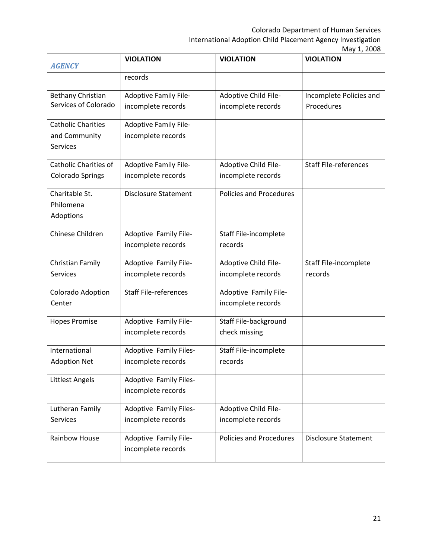Colorado Department of Human Services

International Adoption Child Placement Agency Investigation

|  |  |  | May 1, 2008 |
|--|--|--|-------------|
|--|--|--|-------------|

| <b>AGENCY</b>             | <b>VIOLATION</b>             | <b>VIOLATION</b>               | <b>VIOLATION</b>             |
|---------------------------|------------------------------|--------------------------------|------------------------------|
|                           | records                      |                                |                              |
| Bethany Christian         | <b>Adoptive Family File-</b> | Adoptive Child File-           | Incomplete Policies and      |
| Services of Colorado      | incomplete records           | incomplete records             | Procedures                   |
| <b>Catholic Charities</b> | <b>Adoptive Family File-</b> |                                |                              |
| and Community             | incomplete records           |                                |                              |
| <b>Services</b>           |                              |                                |                              |
| Catholic Charities of     | <b>Adoptive Family File-</b> | Adoptive Child File-           | <b>Staff File-references</b> |
| <b>Colorado Springs</b>   | incomplete records           | incomplete records             |                              |
| Charitable St.            | <b>Disclosure Statement</b>  | <b>Policies and Procedures</b> |                              |
| Philomena                 |                              |                                |                              |
| Adoptions                 |                              |                                |                              |
| Chinese Children          | Adoptive Family File-        | Staff File-incomplete          |                              |
|                           | incomplete records           | records                        |                              |
| Christian Family          | Adoptive Family File-        | Adoptive Child File-           | Staff File-incomplete        |
| <b>Services</b>           | incomplete records           | incomplete records             | records                      |
| Colorado Adoption         | <b>Staff File-references</b> | Adoptive Family File-          |                              |
| Center                    |                              | incomplete records             |                              |
| <b>Hopes Promise</b>      | Adoptive Family File-        | Staff File-background          |                              |
|                           | incomplete records           | check missing                  |                              |
| International             | Adoptive Family Files-       | Staff File-incomplete          |                              |
| <b>Adoption Net</b>       | incomplete records           | records                        |                              |
| <b>Littlest Angels</b>    | Adoptive Family Files-       |                                |                              |
|                           | incomplete records           |                                |                              |
| Lutheran Family           | Adoptive Family Files-       | Adoptive Child File-           |                              |
| <b>Services</b>           | incomplete records           | incomplete records             |                              |
| Rainbow House             | Adoptive Family File-        | <b>Policies and Procedures</b> | <b>Disclosure Statement</b>  |
|                           | incomplete records           |                                |                              |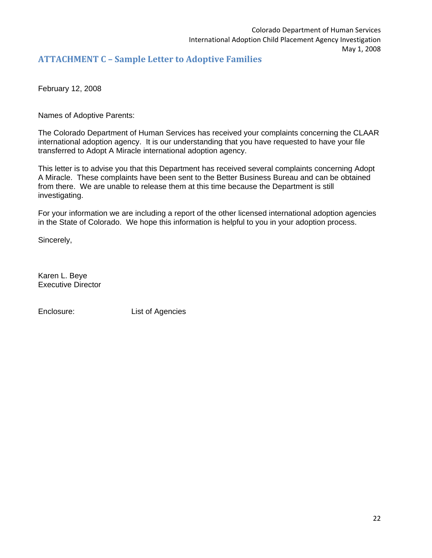## **ATTACHMENT C – Sample Letter to Adoptive Families**

February 12, 2008

Names of Adoptive Parents:

The Colorado Department of Human Services has received your complaints concerning the CLAAR international adoption agency. It is our understanding that you have requested to have your file transferred to Adopt A Miracle international adoption agency.

This letter is to advise you that this Department has received several complaints concerning Adopt A Miracle. These complaints have been sent to the Better Business Bureau and can be obtained from there. We are unable to release them at this time because the Department is still investigating.

For your information we are including a report of the other licensed international adoption agencies in the State of Colorado. We hope this information is helpful to you in your adoption process.

Sincerely,

Karen L. Beye Executive Director

Enclosure: List of Agencies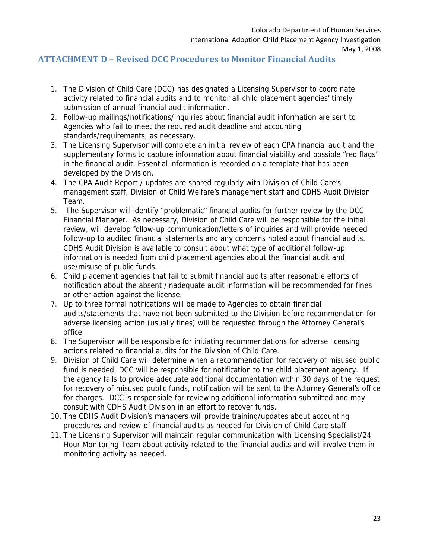## **ATTACHMENT D – Revised DCC Procedures to Monitor Financial Audits**

- 1. The Division of Child Care (DCC) has designated a Licensing Supervisor to coordinate activity related to financial audits and to monitor all child placement agencies' timely submission of annual financial audit information.
- 2. Follow-up mailings/notifications/inquiries about financial audit information are sent to Agencies who fail to meet the required audit deadline and accounting standards/requirements, as necessary.
- 3. The Licensing Supervisor will complete an initial review of each CPA financial audit and the supplementary forms to capture information about financial viability and possible "red flags" in the financial audit. Essential information is recorded on a template that has been developed by the Division.
- 4. The CPA Audit Report / updates are shared regularly with Division of Child Care's management staff, Division of Child Welfare's management staff and CDHS Audit Division Team.
- 5. The Supervisor will identify "problematic" financial audits for further review by the DCC Financial Manager. As necessary, Division of Child Care will be responsible for the initial review, will develop follow-up communication/letters of inquiries and will provide needed follow-up to audited financial statements and any concerns noted about financial audits. CDHS Audit Division is available to consult about what type of additional follow-up information is needed from child placement agencies about the financial audit and use/misuse of public funds.
- 6. Child placement agencies that fail to submit financial audits after reasonable efforts of notification about the absent /inadequate audit information will be recommended for fines or other action against the license.
- 7. Up to three formal notifications will be made to Agencies to obtain financial audits/statements that have not been submitted to the Division before recommendation for adverse licensing action (usually fines) will be requested through the Attorney General's office.
- 8. The Supervisor will be responsible for initiating recommendations for adverse licensing actions related to financial audits for the Division of Child Care.
- 9. Division of Child Care will determine when a recommendation for recovery of misused public fund is needed. DCC will be responsible for notification to the child placement agency. If the agency fails to provide adequate additional documentation within 30 days of the request for recovery of misused public funds, notification will be sent to the Attorney General's office for charges. DCC is responsible for reviewing additional information submitted and may consult with CDHS Audit Division in an effort to recover funds.
- 10. The CDHS Audit Division's managers will provide training/updates about accounting procedures and review of financial audits as needed for Division of Child Care staff.
- 11. The Licensing Supervisor will maintain regular communication with Licensing Specialist/24 Hour Monitoring Team about activity related to the financial audits and will involve them in monitoring activity as needed.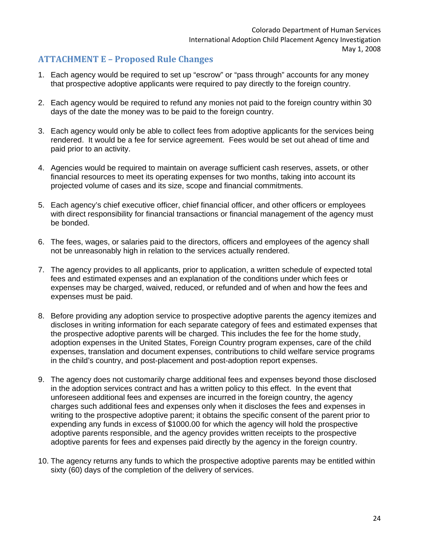## **ATTACHMENT E – Proposed Rule Changes**

- 1. Each agency would be required to set up "escrow" or "pass through" accounts for any money that prospective adoptive applicants were required to pay directly to the foreign country.
- 2. Each agency would be required to refund any monies not paid to the foreign country within 30 days of the date the money was to be paid to the foreign country.
- 3. Each agency would only be able to collect fees from adoptive applicants for the services being rendered. It would be a fee for service agreement. Fees would be set out ahead of time and paid prior to an activity.
- 4. Agencies would be required to maintain on average sufficient cash reserves, assets, or other financial resources to meet its operating expenses for two months, taking into account its projected volume of cases and its size, scope and financial commitments.
- 5. Each agency's chief executive officer, chief financial officer, and other officers or employees with direct responsibility for financial transactions or financial management of the agency must be bonded.
- 6. The fees, wages, or salaries paid to the directors, officers and employees of the agency shall not be unreasonably high in relation to the services actually rendered.
- 7. The agency provides to all applicants, prior to application, a written schedule of expected total fees and estimated expenses and an explanation of the conditions under which fees or expenses may be charged, waived, reduced, or refunded and of when and how the fees and expenses must be paid.
- 8. Before providing any adoption service to prospective adoptive parents the agency itemizes and discloses in writing information for each separate category of fees and estimated expenses that the prospective adoptive parents will be charged. This includes the fee for the home study, adoption expenses in the United States, Foreign Country program expenses, care of the child expenses, translation and document expenses, contributions to child welfare service programs in the child's country, and post-placement and post-adoption report expenses.
- 9. The agency does not customarily charge additional fees and expenses beyond those disclosed in the adoption services contract and has a written policy to this effect. In the event that unforeseen additional fees and expenses are incurred in the foreign country, the agency charges such additional fees and expenses only when it discloses the fees and expenses in writing to the prospective adoptive parent; it obtains the specific consent of the parent prior to expending any funds in excess of \$1000.00 for which the agency will hold the prospective adoptive parents responsible, and the agency provides written receipts to the prospective adoptive parents for fees and expenses paid directly by the agency in the foreign country.
- 10. The agency returns any funds to which the prospective adoptive parents may be entitled within sixty (60) days of the completion of the delivery of services.